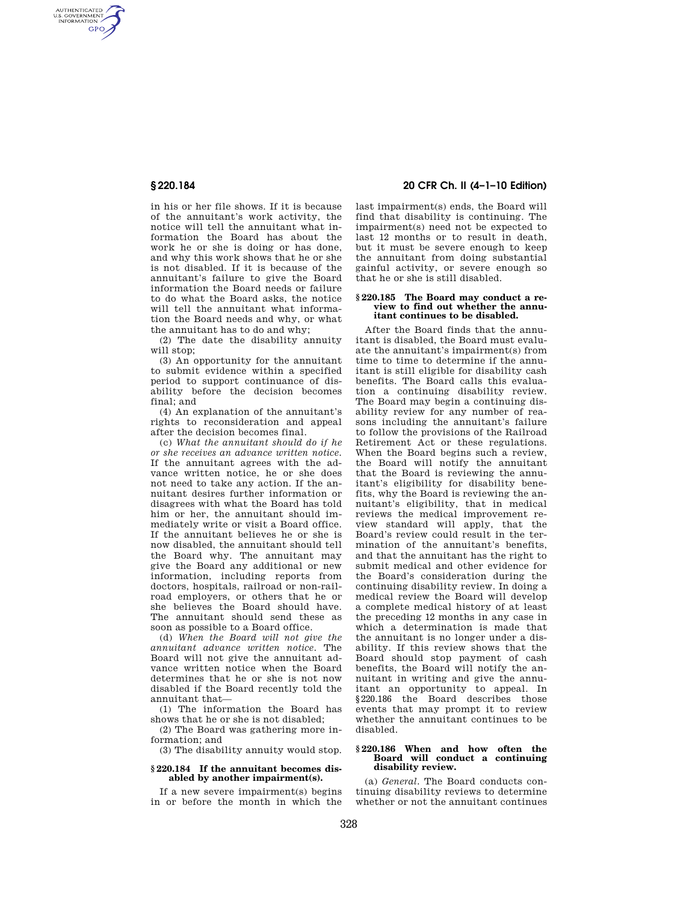AUTHENTICATED<br>U.S. GOVERNMENT<br>INFORMATION GPO

> in his or her file shows. If it is because of the annuitant's work activity, the notice will tell the annuitant what information the Board has about the work he or she is doing or has done, and why this work shows that he or she is not disabled. If it is because of the annuitant's failure to give the Board information the Board needs or failure to do what the Board asks, the notice will tell the annuitant what information the Board needs and why, or what the annuitant has to do and why;

(2) The date the disability annuity will stop:

(3) An opportunity for the annuitant to submit evidence within a specified period to support continuance of disability before the decision becomes final; and

(4) An explanation of the annuitant's rights to reconsideration and appeal after the decision becomes final.

(c) *What the annuitant should do if he or she receives an advance written notice.*  If the annuitant agrees with the advance written notice, he or she does not need to take any action. If the annuitant desires further information or disagrees with what the Board has told him or her, the annuitant should immediately write or visit a Board office. If the annuitant believes he or she is now disabled, the annuitant should tell the Board why. The annuitant may give the Board any additional or new information, including reports from doctors, hospitals, railroad or non-railroad employers, or others that he or she believes the Board should have. The annuitant should send these as soon as possible to a Board office.

(d) *When the Board will not give the annuitant advance written notice.* The Board will not give the annuitant advance written notice when the Board determines that he or she is not now disabled if the Board recently told the annuitant that—

(1) The information the Board has shows that he or she is not disabled;

(2) The Board was gathering more information; and

(3) The disability annuity would stop.

#### **§ 220.184 If the annuitant becomes disabled by another impairment(s).**

If a new severe impairment(s) begins in or before the month in which the

## **§ 220.184 20 CFR Ch. II (4–1–10 Edition)**

last impairment(s) ends, the Board will find that disability is continuing. The impairment(s) need not be expected to last 12 months or to result in death, but it must be severe enough to keep the annuitant from doing substantial gainful activity, or severe enough so that he or she is still disabled.

#### **§ 220.185 The Board may conduct a review to find out whether the annuitant continues to be disabled.**

After the Board finds that the annuitant is disabled, the Board must evaluate the annuitant's impairment(s) from time to time to determine if the annuitant is still eligible for disability cash benefits. The Board calls this evaluation a continuing disability review. The Board may begin a continuing disability review for any number of reasons including the annuitant's failure to follow the provisions of the Railroad Retirement Act or these regulations. When the Board begins such a review, the Board will notify the annuitant that the Board is reviewing the annuitant's eligibility for disability benefits, why the Board is reviewing the annuitant's eligibility, that in medical reviews the medical improvement review standard will apply, that the Board's review could result in the termination of the annuitant's benefits, and that the annuitant has the right to submit medical and other evidence for the Board's consideration during the continuing disability review. In doing a medical review the Board will develop a complete medical history of at least the preceding 12 months in any case in which a determination is made that the annuitant is no longer under a disability. If this review shows that the Board should stop payment of cash benefits, the Board will notify the annuitant in writing and give the annuitant an opportunity to appeal. In §220.186 the Board describes those events that may prompt it to review whether the annuitant continues to be disabled.

## **§ 220.186 When and how often the Board will conduct a continuing disability review.**

(a) *General.* The Board conducts continuing disability reviews to determine whether or not the annuitant continues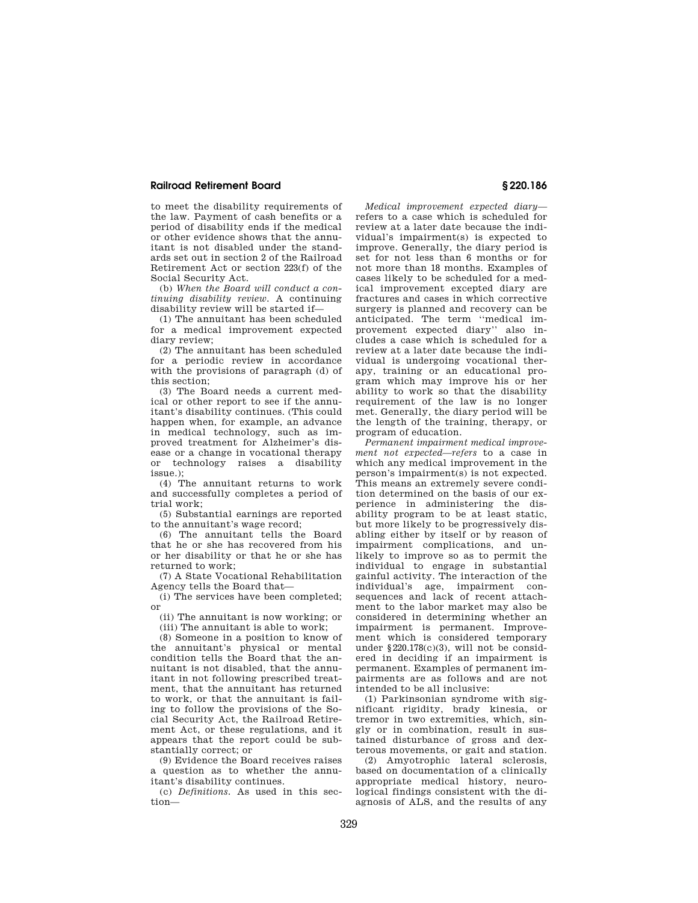## **Railroad Retirement Board § 220.186**

to meet the disability requirements of the law. Payment of cash benefits or a period of disability ends if the medical or other evidence shows that the annuitant is not disabled under the standards set out in section 2 of the Railroad Retirement Act or section 223(f) of the Social Security Act.

(b) *When the Board will conduct a continuing disability review.* A continuing disability review will be started if—

(1) The annuitant has been scheduled for a medical improvement expected diary review;

(2) The annuitant has been scheduled for a periodic review in accordance with the provisions of paragraph (d) of this section;

(3) The Board needs a current medical or other report to see if the annuitant's disability continues. (This could happen when, for example, an advance in medical technology, such as improved treatment for Alzheimer's disease or a change in vocational therapy or technology raises a disability issue.);

(4) The annuitant returns to work and successfully completes a period of trial work;

(5) Substantial earnings are reported to the annuitant's wage record;

(6) The annuitant tells the Board that he or she has recovered from his or her disability or that he or she has returned to work;

(7) A State Vocational Rehabilitation Agency tells the Board that—

(i) The services have been completed; or

(ii) The annuitant is now working; or  $(iii)$  The annuitant is able to work:

(8) Someone in a position to know of the annuitant's physical or mental condition tells the Board that the annuitant is not disabled, that the annuitant in not following prescribed treatment, that the annuitant has returned to work, or that the annuitant is failing to follow the provisions of the Social Security Act, the Railroad Retirement Act, or these regulations, and it appears that the report could be substantially correct; or

(9) Evidence the Board receives raises a question as to whether the annuitant's disability continues.

(c) *Definitions.* As used in this section—

*Medical improvement expected diary*  refers to a case which is scheduled for review at a later date because the individual's impairment(s) is expected to improve. Generally, the diary period is set for not less than 6 months or for not more than 18 months. Examples of cases likely to be scheduled for a medical improvement excepted diary are fractures and cases in which corrective surgery is planned and recovery can be anticipated. The term ''medical improvement expected diary'' also includes a case which is scheduled for a review at a later date because the individual is undergoing vocational therapy, training or an educational program which may improve his or her ability to work so that the disability requirement of the law is no longer met. Generally, the diary period will be the length of the training, therapy, or program of education.

*Permanent impairment medical improvement not expected—refers* to a case in which any medical improvement in the person's impairment(s) is not expected. This means an extremely severe condition determined on the basis of our experience in administering the disability program to be at least static, but more likely to be progressively disabling either by itself or by reason of impairment complications, and unlikely to improve so as to permit the individual to engage in substantial gainful activity. The interaction of the individual's age, impairment consequences and lack of recent attachment to the labor market may also be considered in determining whether an impairment is permanent. Improvement which is considered temporary under §220.178(c)(3), will not be considered in deciding if an impairment is permanent. Examples of permanent impairments are as follows and are not intended to be all inclusive:

(1) Parkinsonian syndrome with significant rigidity, brady kinesia, or tremor in two extremities, which, singly or in combination, result in sustained disturbance of gross and dexterous movements, or gait and station.

(2) Amyotrophic lateral sclerosis, based on documentation of a clinically appropriate medical history, neurological findings consistent with the diagnosis of ALS, and the results of any